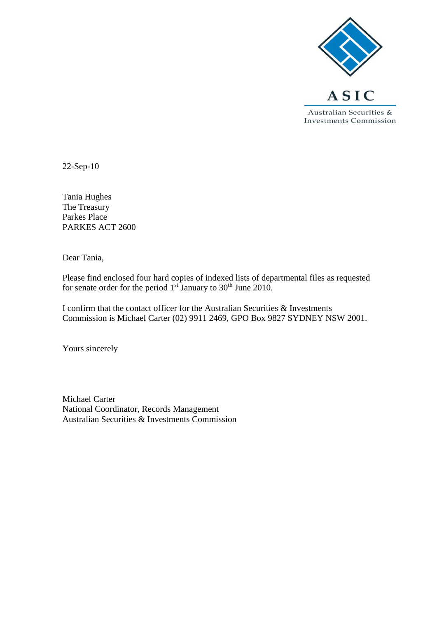

22-Sep-10

Tania Hughes The Treasury Parkes Place PARKES ACT 2600

Dear Tania,

Please find enclosed four hard copies of indexed lists of departmental files as requested for senate order for the period  $1<sup>st</sup>$  January to  $30<sup>th</sup>$  June 2010.

I confirm that the contact officer for the Australian Securities & Investments Commission is Michael Carter (02) 9911 2469, GPO Box 9827 SYDNEY NSW 2001.

Yours sincerely

Michael Carter National Coordinator, Records Management Australian Securities & Investments Commission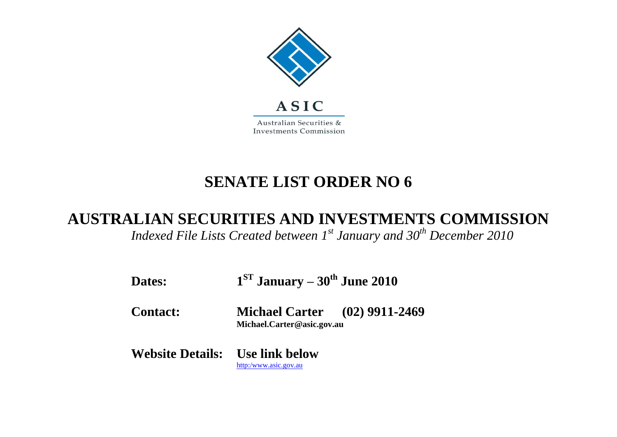

## **SENATE LIST ORDER NO 6**

## **AUSTRALIAN SECURITIES AND INVESTMENTS COMMISSION**

*Indexed File Lists Created between 1st January and 30 th December 2010*

| Dates:                                 | $1ST$ January – $30th$ June 2010                                   |  |
|----------------------------------------|--------------------------------------------------------------------|--|
| <b>Contact:</b>                        | <b>Michael Carter</b> (02) 9911-2469<br>Michael.Carter@asic.gov.au |  |
| <b>Website Details:</b> Use link below | http:/www.asic.gov.au                                              |  |